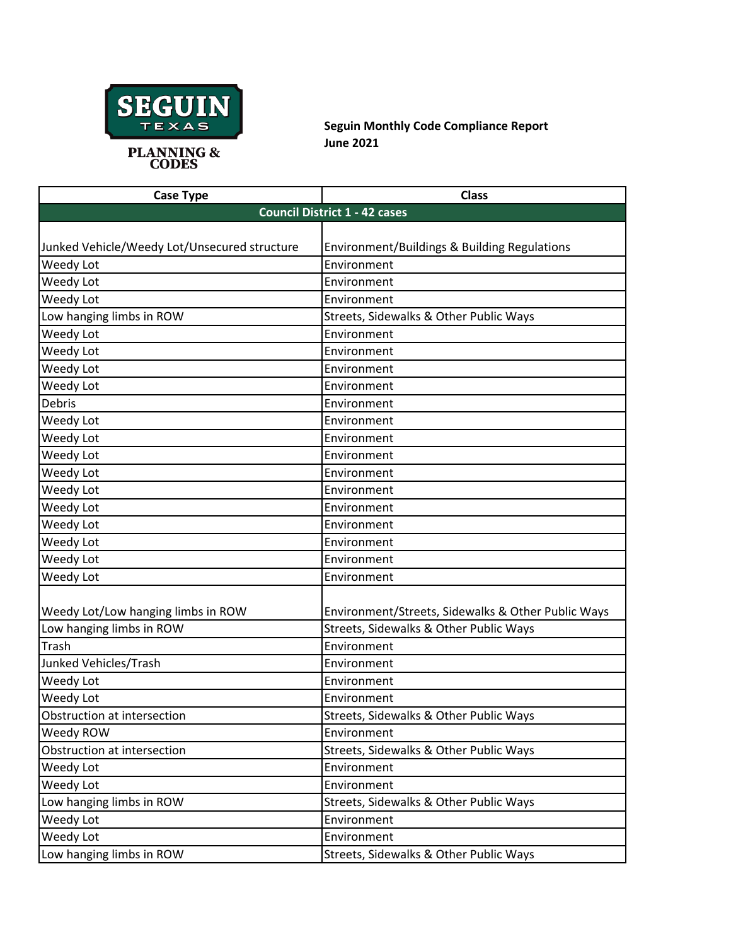

**Seguin Monthly Code Compliance Report June 2021**

| <b>Case Type</b>                             | <b>Class</b>                                       |  |
|----------------------------------------------|----------------------------------------------------|--|
| <b>Council District 1 - 42 cases</b>         |                                                    |  |
|                                              |                                                    |  |
| Junked Vehicle/Weedy Lot/Unsecured structure | Environment/Buildings & Building Regulations       |  |
| Weedy Lot                                    | Environment                                        |  |
| Weedy Lot                                    | Environment                                        |  |
| Weedy Lot                                    | Environment                                        |  |
| Low hanging limbs in ROW                     | Streets, Sidewalks & Other Public Ways             |  |
| Weedy Lot                                    | Environment                                        |  |
| Weedy Lot                                    | Environment                                        |  |
| Weedy Lot                                    | Environment                                        |  |
| Weedy Lot                                    | Environment                                        |  |
| Debris                                       | Environment                                        |  |
| Weedy Lot                                    | Environment                                        |  |
| Weedy Lot                                    | Environment                                        |  |
| Weedy Lot                                    | Environment                                        |  |
| Weedy Lot                                    | Environment                                        |  |
| Weedy Lot                                    | Environment                                        |  |
| Weedy Lot                                    | Environment                                        |  |
| Weedy Lot                                    | Environment                                        |  |
| Weedy Lot                                    | Environment                                        |  |
| Weedy Lot                                    | Environment                                        |  |
| Weedy Lot                                    | Environment                                        |  |
|                                              |                                                    |  |
| Weedy Lot/Low hanging limbs in ROW           | Environment/Streets, Sidewalks & Other Public Ways |  |
| Low hanging limbs in ROW                     | Streets, Sidewalks & Other Public Ways             |  |
| Trash                                        | Environment                                        |  |
| Junked Vehicles/Trash                        | Environment                                        |  |
| Weedy Lot                                    | Environment                                        |  |
| Weedy Lot                                    | Environment                                        |  |
| Obstruction at intersection                  | Streets, Sidewalks & Other Public Ways             |  |
| Weedy ROW                                    | Environment                                        |  |
| Obstruction at intersection                  | Streets, Sidewalks & Other Public Ways             |  |
| Weedy Lot                                    | Environment                                        |  |
| Weedy Lot                                    | Environment                                        |  |
| Low hanging limbs in ROW                     | Streets, Sidewalks & Other Public Ways             |  |
| Weedy Lot                                    | Environment                                        |  |
| Weedy Lot                                    | Environment                                        |  |
| Low hanging limbs in ROW                     | Streets, Sidewalks & Other Public Ways             |  |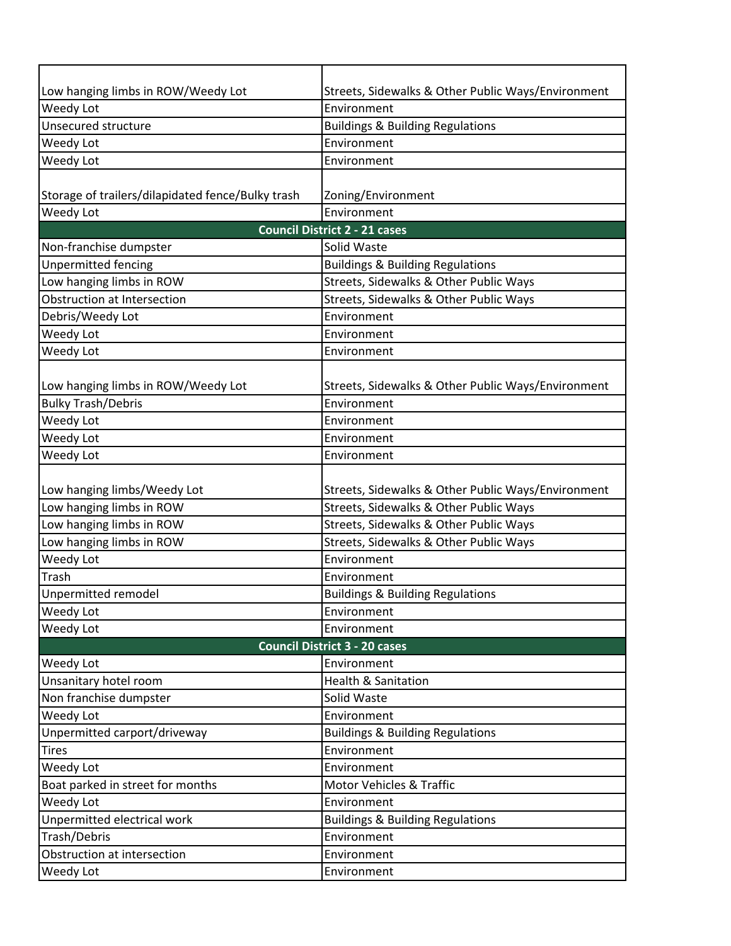| Low hanging limbs in ROW/Weedy Lot                | Streets, Sidewalks & Other Public Ways/Environment |  |
|---------------------------------------------------|----------------------------------------------------|--|
| Weedy Lot                                         | Environment                                        |  |
| Unsecured structure                               | <b>Buildings &amp; Building Regulations</b>        |  |
| Weedy Lot                                         | Environment                                        |  |
| Weedy Lot                                         | Environment                                        |  |
|                                                   |                                                    |  |
| Storage of trailers/dilapidated fence/Bulky trash | Zoning/Environment                                 |  |
| Weedy Lot                                         | Environment                                        |  |
|                                                   | <b>Council District 2 - 21 cases</b>               |  |
| Non-franchise dumpster                            | Solid Waste                                        |  |
| <b>Unpermitted fencing</b>                        | <b>Buildings &amp; Building Regulations</b>        |  |
| Low hanging limbs in ROW                          | Streets, Sidewalks & Other Public Ways             |  |
| Obstruction at Intersection                       | Streets, Sidewalks & Other Public Ways             |  |
| Debris/Weedy Lot                                  | Environment                                        |  |
| Weedy Lot                                         | Environment                                        |  |
| Weedy Lot                                         | Environment                                        |  |
|                                                   |                                                    |  |
| Low hanging limbs in ROW/Weedy Lot                | Streets, Sidewalks & Other Public Ways/Environment |  |
| <b>Bulky Trash/Debris</b>                         | Environment                                        |  |
| Weedy Lot                                         | Environment                                        |  |
| Weedy Lot                                         | Environment                                        |  |
| Weedy Lot                                         | Environment                                        |  |
|                                                   |                                                    |  |
| Low hanging limbs/Weedy Lot                       | Streets, Sidewalks & Other Public Ways/Environment |  |
| Low hanging limbs in ROW                          | Streets, Sidewalks & Other Public Ways             |  |
| Low hanging limbs in ROW                          | Streets, Sidewalks & Other Public Ways             |  |
| Low hanging limbs in ROW                          | Streets, Sidewalks & Other Public Ways             |  |
| Weedy Lot                                         | Environment                                        |  |
| Trash                                             | Environment                                        |  |
| Unpermitted remodel                               | <b>Buildings &amp; Building Regulations</b>        |  |
| Weedy Lot                                         | Environment                                        |  |
| Weedy Lot                                         | Environment                                        |  |
| <b>Council District 3 - 20 cases</b>              |                                                    |  |
| Weedy Lot                                         | Environment                                        |  |
| Unsanitary hotel room                             | <b>Health &amp; Sanitation</b>                     |  |
| Non franchise dumpster                            | Solid Waste                                        |  |
| Weedy Lot                                         | Environment                                        |  |
| Unpermitted carport/driveway                      | <b>Buildings &amp; Building Regulations</b>        |  |
| <b>Tires</b>                                      | Environment                                        |  |
| Weedy Lot                                         | Environment                                        |  |
| Boat parked in street for months                  | Motor Vehicles & Traffic                           |  |
| Weedy Lot                                         | Environment                                        |  |
| Unpermitted electrical work                       | <b>Buildings &amp; Building Regulations</b>        |  |
| Trash/Debris                                      | Environment                                        |  |
| Obstruction at intersection                       | Environment                                        |  |
| Weedy Lot                                         | Environment                                        |  |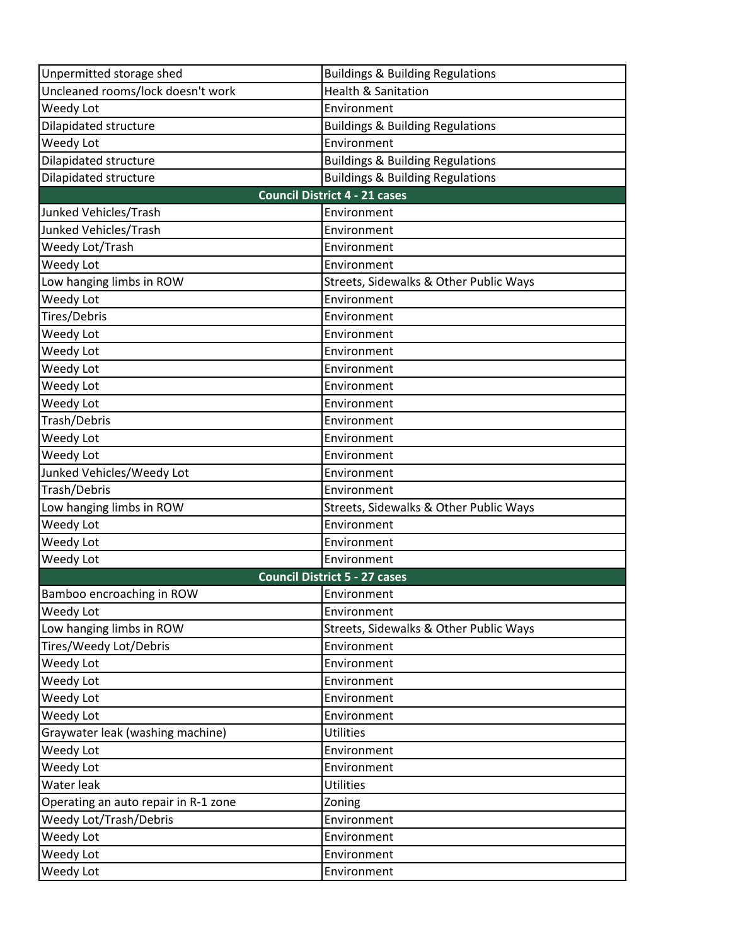| Unpermitted storage shed             | <b>Buildings &amp; Building Regulations</b> |
|--------------------------------------|---------------------------------------------|
| Uncleaned rooms/lock doesn't work    | <b>Health &amp; Sanitation</b>              |
| Weedy Lot                            | Environment                                 |
| Dilapidated structure                | <b>Buildings &amp; Building Regulations</b> |
| Weedy Lot                            | Environment                                 |
| Dilapidated structure                | <b>Buildings &amp; Building Regulations</b> |
| Dilapidated structure                | <b>Buildings &amp; Building Regulations</b> |
|                                      | <b>Council District 4 - 21 cases</b>        |
| Junked Vehicles/Trash                | Environment                                 |
| Junked Vehicles/Trash                | Environment                                 |
| Weedy Lot/Trash                      | Environment                                 |
| Weedy Lot                            | Environment                                 |
| Low hanging limbs in ROW             | Streets, Sidewalks & Other Public Ways      |
| Weedy Lot                            | Environment                                 |
| Tires/Debris                         | Environment                                 |
| Weedy Lot                            | Environment                                 |
| Weedy Lot                            | Environment                                 |
| Weedy Lot                            | Environment                                 |
| Weedy Lot                            | Environment                                 |
| Weedy Lot                            | Environment                                 |
| Trash/Debris                         | Environment                                 |
| Weedy Lot                            | Environment                                 |
| Weedy Lot                            | Environment                                 |
| Junked Vehicles/Weedy Lot            | Environment                                 |
| Trash/Debris                         | Environment                                 |
| Low hanging limbs in ROW             | Streets, Sidewalks & Other Public Ways      |
| Weedy Lot                            | Environment                                 |
| Weedy Lot                            | Environment                                 |
| Weedy Lot                            | Environment                                 |
|                                      | <b>Council District 5 - 27 cases</b>        |
| Bamboo encroaching in ROW            | Environment                                 |
| Weedy Lot                            | Environment                                 |
| Low hanging limbs in ROW             | Streets, Sidewalks & Other Public Ways      |
| Tires/Weedy Lot/Debris               | Environment                                 |
| Weedy Lot                            | Environment                                 |
| Weedy Lot                            | Environment                                 |
| Weedy Lot                            | Environment                                 |
| Weedy Lot                            | Environment                                 |
| Graywater leak (washing machine)     | <b>Utilities</b>                            |
| Weedy Lot                            | Environment                                 |
| Weedy Lot                            | Environment                                 |
| Water leak                           | <b>Utilities</b>                            |
| Operating an auto repair in R-1 zone | Zoning                                      |
| Weedy Lot/Trash/Debris               | Environment                                 |
| Weedy Lot                            | Environment                                 |
| Weedy Lot                            | Environment                                 |
| Weedy Lot                            | Environment                                 |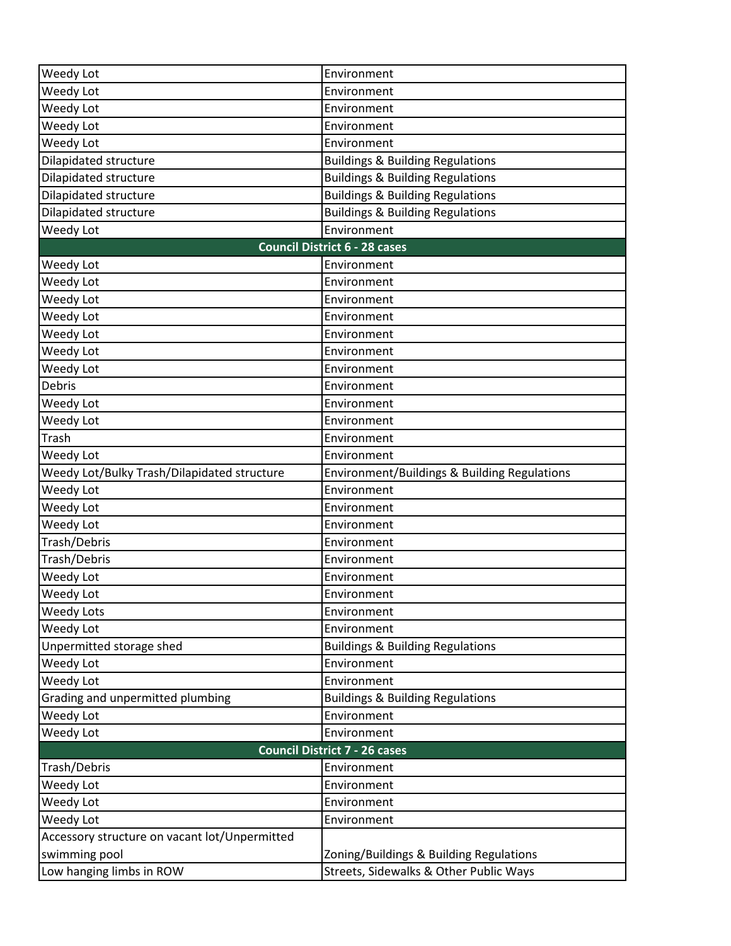| Weedy Lot                                     | Environment                                  |  |
|-----------------------------------------------|----------------------------------------------|--|
| Weedy Lot                                     | Environment                                  |  |
| Weedy Lot                                     | Environment                                  |  |
| Weedy Lot                                     | Environment                                  |  |
| Weedy Lot                                     | Environment                                  |  |
| Dilapidated structure                         | <b>Buildings &amp; Building Regulations</b>  |  |
| Dilapidated structure                         | <b>Buildings &amp; Building Regulations</b>  |  |
| Dilapidated structure                         | <b>Buildings &amp; Building Regulations</b>  |  |
| Dilapidated structure                         | <b>Buildings &amp; Building Regulations</b>  |  |
| Weedy Lot                                     | Environment                                  |  |
|                                               | <b>Council District 6 - 28 cases</b>         |  |
| Weedy Lot                                     | Environment                                  |  |
| Weedy Lot                                     | Environment                                  |  |
| Weedy Lot                                     | Environment                                  |  |
| Weedy Lot                                     | Environment                                  |  |
| Weedy Lot                                     | Environment                                  |  |
| Weedy Lot                                     | Environment                                  |  |
| Weedy Lot                                     | Environment                                  |  |
| Debris                                        | Environment                                  |  |
| Weedy Lot                                     | Environment                                  |  |
| Weedy Lot                                     | Environment                                  |  |
| Trash                                         | Environment                                  |  |
| Weedy Lot                                     | Environment                                  |  |
| Weedy Lot/Bulky Trash/Dilapidated structure   | Environment/Buildings & Building Regulations |  |
| Weedy Lot                                     | Environment                                  |  |
| Weedy Lot                                     | Environment                                  |  |
| Weedy Lot                                     | Environment                                  |  |
| Trash/Debris                                  | Environment                                  |  |
| Trash/Debris                                  | Environment                                  |  |
| Weedy Lot                                     | Environment                                  |  |
| Weedy Lot                                     | Environment                                  |  |
| <b>Weedy Lots</b>                             | Environment                                  |  |
| Weedy Lot                                     | Environment                                  |  |
| Unpermitted storage shed                      | <b>Buildings &amp; Building Regulations</b>  |  |
| Weedy Lot                                     | Environment                                  |  |
| Weedy Lot                                     | Environment                                  |  |
| Grading and unpermitted plumbing              | <b>Buildings &amp; Building Regulations</b>  |  |
| Weedy Lot                                     | Environment                                  |  |
| Weedy Lot                                     | Environment                                  |  |
| <b>Council District 7 - 26 cases</b>          |                                              |  |
| Trash/Debris                                  | Environment                                  |  |
| Weedy Lot                                     | Environment                                  |  |
| Weedy Lot                                     | Environment                                  |  |
| Weedy Lot                                     | Environment                                  |  |
| Accessory structure on vacant lot/Unpermitted |                                              |  |
| swimming pool                                 | Zoning/Buildings & Building Regulations      |  |
| Low hanging limbs in ROW                      | Streets, Sidewalks & Other Public Ways       |  |